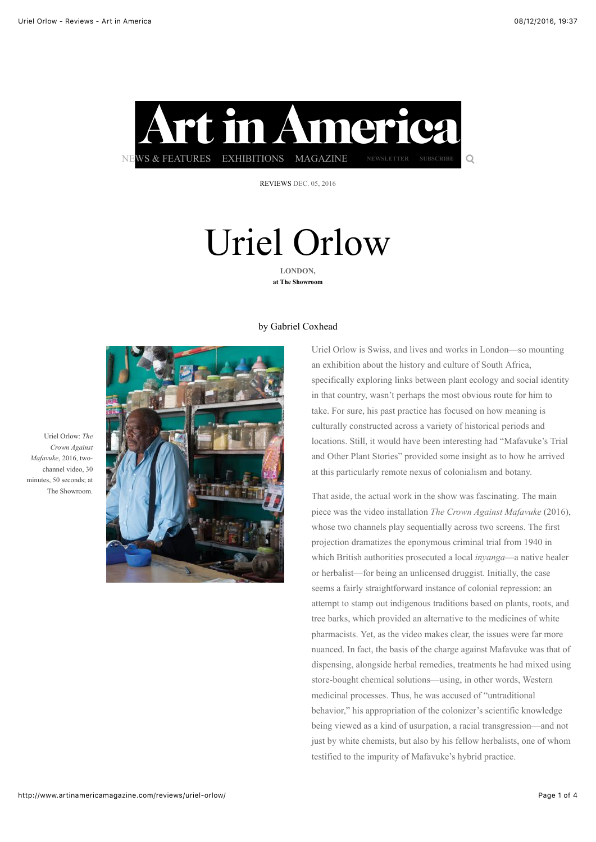

[REVIEWS](http://www.artinamericamagazine.com/reviews/) DEC. 05, 2016

# Uriel Orlow **LONDON,**

**at The Showroom**

#### by [Gabriel Coxhead](http://www.artinamericamagazine.com/search/Gabriel+Coxhead/)



Uriel Orlow is Swiss, and lives and works in London—so mounting an exhibition about the history and culture of South Africa, specifically exploring links between plant ecology and social identity in that country, wasn't perhaps the most obvious route for him to take. For sure, his past practice has focused on how meaning is culturally constructed across a variety of historical periods and locations. Still, it would have been interesting had "Mafavuke's Trial and Other Plant Stories" provided some insight as to how he arrived at this particularly remote nexus of colonialism and botany.

That aside, the actual work in the show was fascinating. The main piece was the video installation *The Crown Against Mafavuke* (2016), whose two channels play sequentially across two screens. The first projection dramatizes the eponymous criminal trial from 1940 in which British authorities prosecuted a local *inyanga*—a native healer or herbalist—for being an unlicensed druggist. Initially, the case seems a fairly straightforward instance of colonial repression: an attempt to stamp out indigenous traditions based on plants, roots, and tree barks, which provided an alternative to the medicines of white pharmacists. Yet, as the video makes clear, the issues were far more nuanced. In fact, the basis of the charge against Mafavuke was that of dispensing, alongside herbal remedies, treatments he had mixed using store-bought chemical solutions—using, in other words, Western medicinal processes. Thus, he was accused of "untraditional behavior," his appropriation of the colonizer's scientific knowledge being viewed as a kind of usurpation, a racial transgression—and not just by white chemists, but also by his fellow herbalists, one of whom testified to the impurity of Mafavuke's hybrid practice.

Uriel Orlow: *The Crown Against Mafavuke*, 2016, twochannel video, 30 minutes, 50 seconds; at The Showroom.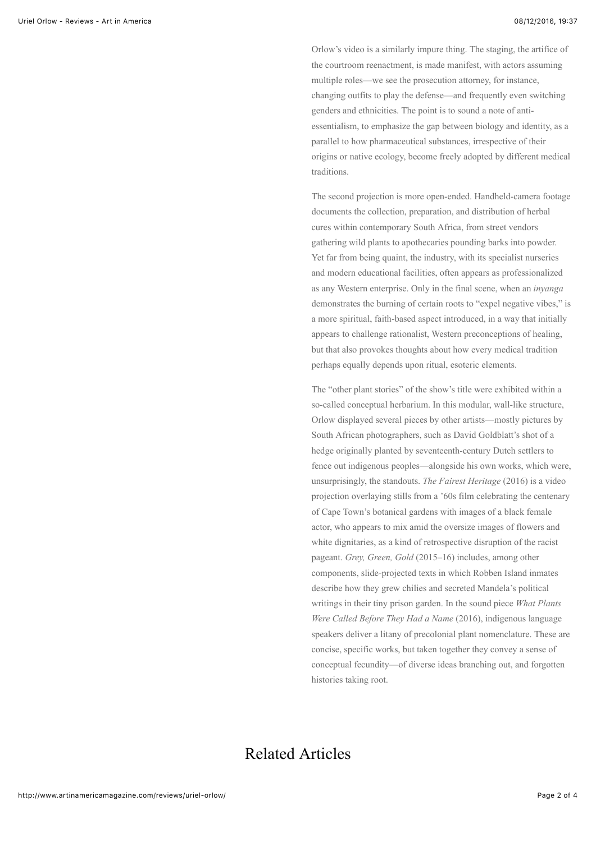Orlow's video is a similarly impure thing. The staging, the artifice of the courtroom reenactment, is made manifest, with actors assuming multiple roles—we see the prosecution attorney, for instance, changing outfits to play the defense—and frequently even switching genders and ethnicities. The point is to sound a note of antiessentialism, to emphasize the gap between biology and identity, as a parallel to how pharmaceutical substances, irrespective of their origins or native ecology, become freely adopted by different medical traditions.

The second projection is more open-ended. Handheld-camera footage documents the collection, preparation, and distribution of herbal cures within contemporary South Africa, from street vendors gathering wild plants to apothecaries pounding barks into powder. Yet far from being quaint, the industry, with its specialist nurseries and modern educational facilities, often appears as professionalized as any Western enterprise. Only in the final scene, when an *inyanga* demonstrates the burning of certain roots to "expel negative vibes," is a more spiritual, faith-based aspect introduced, in a way that initially appears to challenge rationalist, Western preconceptions of healing, but that also provokes thoughts about how every medical tradition perhaps equally depends upon ritual, esoteric elements.

The "other plant stories" of the show's title were exhibited within a so-called conceptual herbarium. In this modular, wall-like structure, Orlow displayed several pieces by other artists—mostly pictures by South African photographers, such as David Goldblatt's shot of a hedge originally planted by seventeenth-century Dutch settlers to fence out indigenous peoples—alongside his own works, which were, unsurprisingly, the standouts. *The Fairest Heritage* (2016) is a video projection overlaying stills from a '60s film celebrating the centenary of Cape Town's botanical gardens with images of a black female actor, who appears to mix amid the oversize images of flowers and white dignitaries, as a kind of retrospective disruption of the racist pageant. *Grey, Green, Gold* (2015–16) includes, among other components, slide-projected texts in which Robben Island inmates describe how they grew chilies and secreted Mandela's political writings in their tiny prison garden. In the sound piece *What Plants Were Called Before They Had a Name* (2016), indigenous language speakers deliver a litany of precolonial plant nomenclature. These are concise, specific works, but taken together they convey a sense of conceptual fecundity—of diverse ideas branching out, and forgotten histories taking root.

### Related Articles